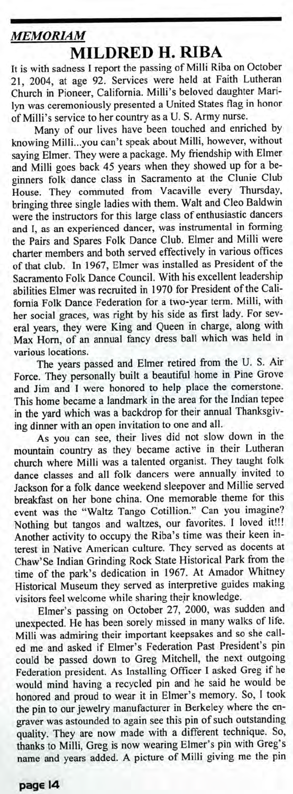## *MEMORIAM*

## **MILDRED H. RIBA**

It is with sadness I report the passing of Milli Riba on October 21, 2004, at age 92. Services were held at Faith Lutheran Church in Pioneer, California. Milli's beloved daughter Marilyn was ceremoniously presented a United States flag in honor of Milli's service to her country as a U. S. Army nurse.

Many of our lives have been touched and enriched by knowing Milli...you can't speak about Milli, however, without saying Elmer. They were a package. My friendship with Elmer and Milli goes back 45 years when they showed up for a beginners folk dance class in Sacramento at the Clunie Club House. They commuted from Vacaville every Thursday, bringing three single ladies with them. Walt and Cleo Baldwin were the instructors for this large class of enthusiastic dancers and I, as an experienced dancer, was instrumental in forming the Pairs and Spares Folk Dance Club. Elmer and Milli were charter members and both served effectively in various offices of that club. In 1967, Elmer was installed as President of the Sacramento Folk Dance Council. With his excellent leadership abilities Elmer was recruited in 1970 for President of the California Folk Dance Federation for a two-year term. Milli, with her social graces, was right by his side as first lady. For several years, they were King and Queen in charge, along with Max Horn, of an annual fancy dress ball which was held in various locations.

The years passed and Elmer retired from the U. S. Air Force. They personally built a beautiful home in Pine Grove and Jim and I were honored to help place the cornerstone. This home became a landmark in the area for the Indian tepee in the yard which was a backdrop for their annual Thanksgiving dinner with an open invitation to one and all.

As you can see, their lives did not slow down in the mountain country as they became active in their Lutheran church where Milli was a talented organist. They taught folk dance classes and all folk dancers were annually invited to Jackson for a folk dance weekend sleepover and Millie served breakfast on her bone china. One memorable theme for this event was the "Waltz Tango Cotillion." Can you imagine? Nothing but tangos and waltzes, our favorites. I loved it!!! Another activity to occupy the Riba's time was their keen interest in Native American culture. They served as docents at Chaw'Se Indian Grinding Rock State Historical Park from the time of the park's dedication in 1967. At Amador Whitney Historical Museum they served as interpretive guides making visitors feel welcome while sharing their knowledge.

Elmer's passing on October 27, 2000, was sudden and unexpected. He has been sorely missed in many walks of life. Milli was admiring their important keepsakes and so she called me and asked if Elmer's Federation Past President's pin could be passed down to Greg Mitchell, the next outgoing Federation president. As Installing Officer I asked Greg if he would mind having a recycled pin and he said he would be honored and proud to wear it in Elmer's memory. So, I took the pin to our jewelry manufacturer in Berkeley where the engraver was astounded to again see this pin of such outstanding quality. They are now made with a different technique. So, thanks to Milli, Greg is now wearing Elmer's pin with Greg's name and years added. A picture of Milli giving me the pin